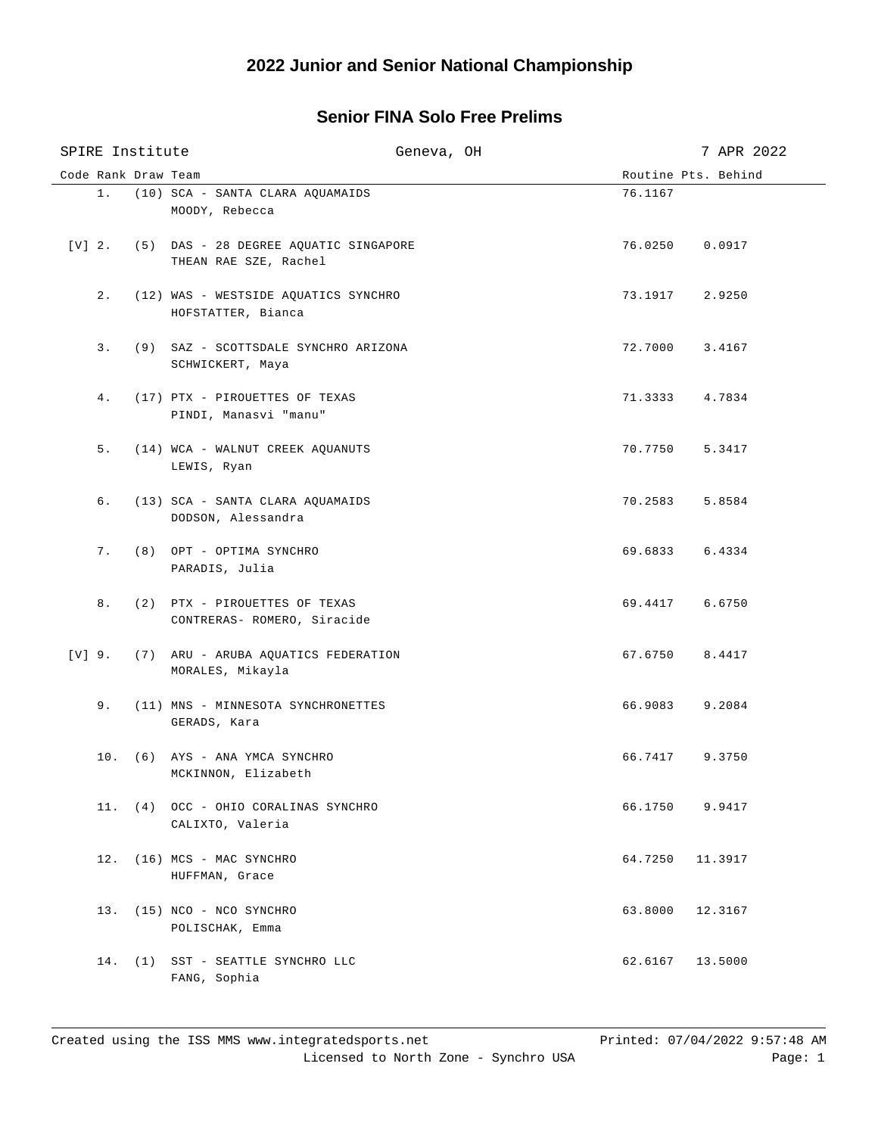## **Senior FINA Solo Free Prelims**

| SPIRE Institute |     | Geneva, OH                                                            |         |                     |  |
|-----------------|-----|-----------------------------------------------------------------------|---------|---------------------|--|
|                 |     | Code Rank Draw Team                                                   |         | Routine Pts. Behind |  |
|                 |     | 1. (10) SCA - SANTA CLARA AOUAMAIDS<br>MOODY, Rebecca                 | 76.1167 |                     |  |
|                 |     | [V] 2. (5) DAS - 28 DEGREE AQUATIC SINGAPORE<br>THEAN RAE SZE, Rachel |         | 76.0250 0.0917      |  |
|                 |     | 2. (12) WAS - WESTSIDE AQUATICS SYNCHRO<br>HOFSTATTER, Bianca         | 73.1917 | 2.9250              |  |
|                 | 3.  | (9) SAZ - SCOTTSDALE SYNCHRO ARIZONA<br>SCHWICKERT, Maya              | 72.7000 | 3.4167              |  |
|                 | 4.  | (17) PTX - PIROUETTES OF TEXAS<br>PINDI, Manasvi "manu"               | 71.3333 | 4.7834              |  |
|                 | 5.  | (14) WCA - WALNUT CREEK AQUANUTS<br>LEWIS, Ryan                       | 70.7750 | 5.3417              |  |
|                 | б.  | (13) SCA - SANTA CLARA AQUAMAIDS<br>DODSON, Alessandra                | 70.2583 | 5.8584              |  |
|                 |     | 7. (8) OPT - OPTIMA SYNCHRO<br>PARADIS, Julia                         | 69.6833 | 6.4334              |  |
|                 |     | 8. (2) PTX - PIROUETTES OF TEXAS<br>CONTRERAS- ROMERO, Siracide       | 69.4417 | 6.6750              |  |
|                 |     | [V] 9. (7) ARU - ARUBA AQUATICS FEDERATION<br>MORALES, Mikayla        | 67.6750 | 8.4417              |  |
|                 |     | 9. (11) MNS - MINNESOTA SYNCHRONETTES<br>GERADS, Kara                 | 66.9083 | 9.2084              |  |
|                 |     | 10. (6) AYS - ANA YMCA SYNCHRO<br>MCKINNON, Elizabeth                 | 66.7417 | 9.3750              |  |
|                 |     | 11. (4) OCC - OHIO CORALINAS SYNCHRO<br>CALIXTO, Valeria              | 66.1750 | 9.9417              |  |
|                 | 12. | (16) MCS - MAC SYNCHRO<br>HUFFMAN, Grace                              | 64.7250 | 11.3917             |  |
|                 |     | 13. (15) NCO - NCO SYNCHRO<br>POLISCHAK, Emma                         | 63.8000 | 12.3167             |  |
|                 |     | 14. (1) SST - SEATTLE SYNCHRO LLC<br>FANG, Sophia                     | 62.6167 | 13.5000             |  |